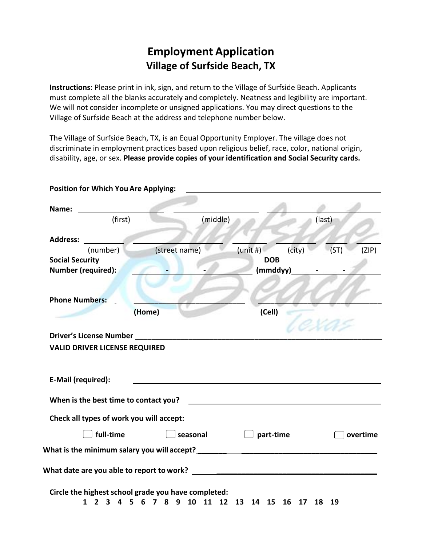# **Employment Application Village of Surfside Beach, TX**

**Instructions**: Please print in ink, sign, and return to the Village of Surfside Beach. Applicants must complete all the blanks accurately and completely. Neatness and legibility are important. We will not consider incomplete or unsigned applications. You may direct questions to the Village of Surfside Beach at the address and telephone number below.

The Village of Surfside Beach, TX, is an Equal Opportunity Employer. The village does not discriminate in employment practices based upon religious belief, race, color, national origin, disability, age, or sex. **Please provide copies of your identification and Social Security cards.**

| Name:                                                                                          |               |                                                      |        |        |          |
|------------------------------------------------------------------------------------------------|---------------|------------------------------------------------------|--------|--------|----------|
| (first)                                                                                        | (middle)      |                                                      |        | (last) |          |
| <b>Address:</b>                                                                                |               |                                                      |        |        |          |
| (number)                                                                                       | (street name) | (unit#)                                              | (city) | (ST)   | (ZIP)    |
| <b>Social Security</b>                                                                         |               | <b>DOB</b>                                           |        |        |          |
| Number (required):                                                                             |               | (mmddyy)                                             |        |        |          |
| <b>Phone Numbers:</b>                                                                          |               |                                                      |        |        |          |
|                                                                                                | (Home)        | (Cell)                                               |        |        |          |
| <b>Driver's License Number</b>                                                                 |               |                                                      |        |        |          |
| <b>VALID DRIVER LICENSE REQUIRED</b>                                                           |               |                                                      |        |        |          |
|                                                                                                |               |                                                      |        |        |          |
| E-Mail (required):                                                                             |               |                                                      |        |        |          |
|                                                                                                |               | <u> 1989 - Johann Stein, fransk politik (* 1958)</u> |        |        |          |
|                                                                                                |               |                                                      |        |        |          |
| When is the best time to contact you?<br>Check all types of work you will accept:<br>full-time | seasonal      | part-time                                            |        |        | overtime |
|                                                                                                |               |                                                      |        |        |          |
|                                                                                                |               |                                                      |        |        |          |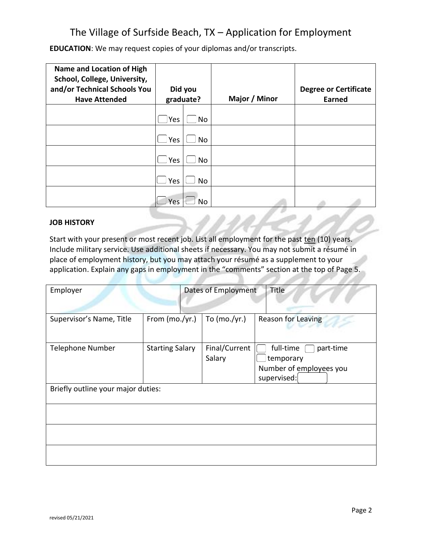**EDUCATION**: We may request copies of your diplomas and/or transcripts.

| <b>Name and Location of High</b><br>School, College, University,<br>and/or Technical Schools You<br><b>Have Attended</b> |      | Did you<br>graduate? | Major / Minor | <b>Degree or Certificate</b><br><b>Earned</b> |
|--------------------------------------------------------------------------------------------------------------------------|------|----------------------|---------------|-----------------------------------------------|
|                                                                                                                          | lYes | No                   |               |                                               |
|                                                                                                                          |      |                      |               |                                               |
|                                                                                                                          | Yes  | No                   |               |                                               |
|                                                                                                                          | Yes  | No                   |               |                                               |
|                                                                                                                          | Yes  | No                   |               |                                               |
|                                                                                                                          | Yes  | <b>No</b>            |               |                                               |

### **JOB HISTORY**

Start with your present or most recent job. List all employment for the past ten (10) years. Include military service. Use additional sheets if necessary. You may not submit a résumé in place of employment history, but you may attach your résumé as a supplement to your application. Explain any gaps in employment in the "comments" section at the top of Page 5.

| Employer                           |                        | Dates of Employment     | Title                                                                         |
|------------------------------------|------------------------|-------------------------|-------------------------------------------------------------------------------|
| Supervisor's Name, Title           | From (mo./yr.)         | To $(mo./yr.)$          | <b>Reason for Leaving</b>                                                     |
| <b>Telephone Number</b>            | <b>Starting Salary</b> | Final/Current<br>Salary | full-time<br>part-time<br>temporary<br>Number of employees you<br>supervised: |
| Briefly outline your major duties: |                        |                         |                                                                               |
|                                    |                        |                         |                                                                               |
|                                    |                        |                         |                                                                               |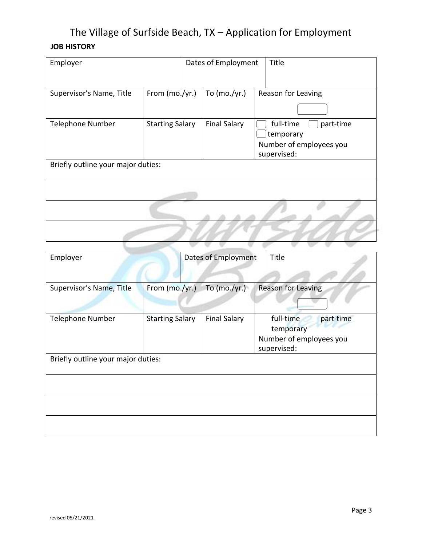| Employer                           |                        | Dates of Employment |  | Title                                                                         |  |
|------------------------------------|------------------------|---------------------|--|-------------------------------------------------------------------------------|--|
| Supervisor's Name, Title           | From (mo./yr.)         | To $(mo./yr.)$      |  | Reason for Leaving                                                            |  |
| <b>Telephone Number</b>            | <b>Starting Salary</b> | <b>Final Salary</b> |  | full-time<br>part-time<br>temporary<br>Number of employees you<br>supervised: |  |
| Briefly outline your major duties: |                        |                     |  |                                                                               |  |
|                                    |                        |                     |  |                                                                               |  |
|                                    |                        |                     |  |                                                                               |  |
|                                    |                        |                     |  |                                                                               |  |

| Employer                           |                        | Dates of Employment |                     | Title                                                                         |
|------------------------------------|------------------------|---------------------|---------------------|-------------------------------------------------------------------------------|
| Supervisor's Name, Title           | From (mo./yr.)         |                     | To $(mo./yr.)$      | <b>Reason for Leaving</b>                                                     |
| <b>Telephone Number</b>            | <b>Starting Salary</b> |                     | <b>Final Salary</b> | full-time<br>part-time<br>temporary<br>Number of employees you<br>supervised: |
| Briefly outline your major duties: |                        |                     |                     |                                                                               |
|                                    |                        |                     |                     |                                                                               |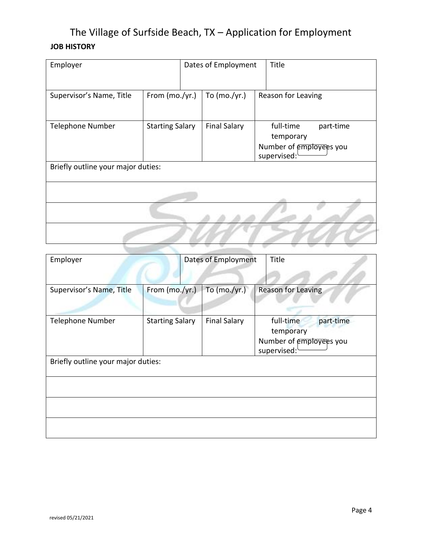| Employer                           |                        |  | Dates of Employment |  | Title                                                                         |  |
|------------------------------------|------------------------|--|---------------------|--|-------------------------------------------------------------------------------|--|
| Supervisor's Name, Title           | From (mo./yr.)         |  | To $(mo./yr.)$      |  | Reason for Leaving                                                            |  |
| <b>Telephone Number</b>            | <b>Starting Salary</b> |  | <b>Final Salary</b> |  | full-time<br>part-time<br>temporary<br>Number of employees you<br>supervised: |  |
| Briefly outline your major duties: |                        |  |                     |  |                                                                               |  |
|                                    |                        |  |                     |  |                                                                               |  |
|                                    |                        |  |                     |  |                                                                               |  |

| Employer                           |                        | Dates of Employment |                     | Title                                                                         |
|------------------------------------|------------------------|---------------------|---------------------|-------------------------------------------------------------------------------|
| Supervisor's Name, Title           | From (mo./yr.)         |                     | To $(mo./yr.)$      | Reason for Leaving                                                            |
| Telephone Number                   | <b>Starting Salary</b> |                     | <b>Final Salary</b> | full-time<br>part-time<br>temporary<br>Number of employees you<br>supervised: |
| Briefly outline your major duties: |                        |                     |                     |                                                                               |
|                                    |                        |                     |                     |                                                                               |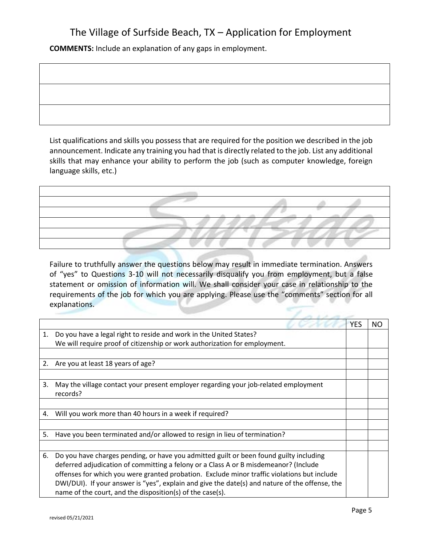**COMMENTS:** Include an explanation of any gaps in employment.

List qualifications and skills you possess that are required for the position we described in the job announcement. Indicate any training you had that is directly related to the job. List any additional skills that may enhance your ability to perform the job (such as computer knowledge, foreign language skills, etc.)

Failure to truthfully answer the questions below may result in immediate termination. Answers of "yes" to Questions 3-10 will not necessarily disqualify you from employment, but a false statement or omission of information will. We shall consider your case in relationship to the requirements of the job for which you are applying. Please use the "comments" section for all explanations.

|    |                                                                                                | <b>YES</b> | NO. |
|----|------------------------------------------------------------------------------------------------|------------|-----|
| 1. | Do you have a legal right to reside and work in the United States?                             |            |     |
|    | We will require proof of citizenship or work authorization for employment.                     |            |     |
|    |                                                                                                |            |     |
| 2. | Are you at least 18 years of age?                                                              |            |     |
|    |                                                                                                |            |     |
| 3. | May the village contact your present employer regarding your job-related employment            |            |     |
|    | records?                                                                                       |            |     |
|    |                                                                                                |            |     |
| 4. | Will you work more than 40 hours in a week if required?                                        |            |     |
|    |                                                                                                |            |     |
| 5. | Have you been terminated and/or allowed to resign in lieu of termination?                      |            |     |
|    |                                                                                                |            |     |
| 6. | Do you have charges pending, or have you admitted guilt or been found guilty including         |            |     |
|    | deferred adjudication of committing a felony or a Class A or B misdemeanor? (Include           |            |     |
|    | offenses for which you were granted probation. Exclude minor traffic violations but include    |            |     |
|    | DWI/DUI). If your answer is "yes", explain and give the date(s) and nature of the offense, the |            |     |
|    | name of the court, and the disposition(s) of the case(s).                                      |            |     |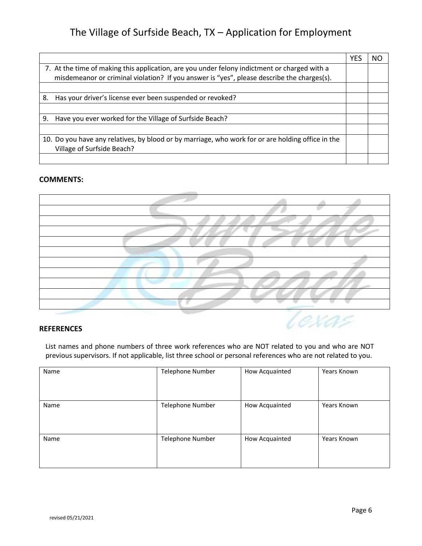|                                                                                                                                                                                            | YES | ΝC |
|--------------------------------------------------------------------------------------------------------------------------------------------------------------------------------------------|-----|----|
| 7. At the time of making this application, are you under felony indictment or charged with a<br>misdemeanor or criminal violation? If you answer is "yes", please describe the charges(s). |     |    |
|                                                                                                                                                                                            |     |    |
| 8.<br>Has your driver's license ever been suspended or revoked?                                                                                                                            |     |    |
|                                                                                                                                                                                            |     |    |
| Have you ever worked for the Village of Surfside Beach?<br>9.                                                                                                                              |     |    |
|                                                                                                                                                                                            |     |    |
| 10. Do you have any relatives, by blood or by marriage, who work for or are holding office in the<br>Village of Surfside Beach?                                                            |     |    |
|                                                                                                                                                                                            |     |    |

### **COMMENTS:**



#### **REFERENCES**

List names and phone numbers of three work references who are NOT related to you and who are NOT previous supervisors. If not applicable, list three school or personal references who are not related to you.

| Name | <b>Telephone Number</b> | How Acquainted | Years Known |
|------|-------------------------|----------------|-------------|
|      |                         |                |             |
| Name | <b>Telephone Number</b> | How Acquainted | Years Known |
| Name | <b>Telephone Number</b> | How Acquainted | Years Known |